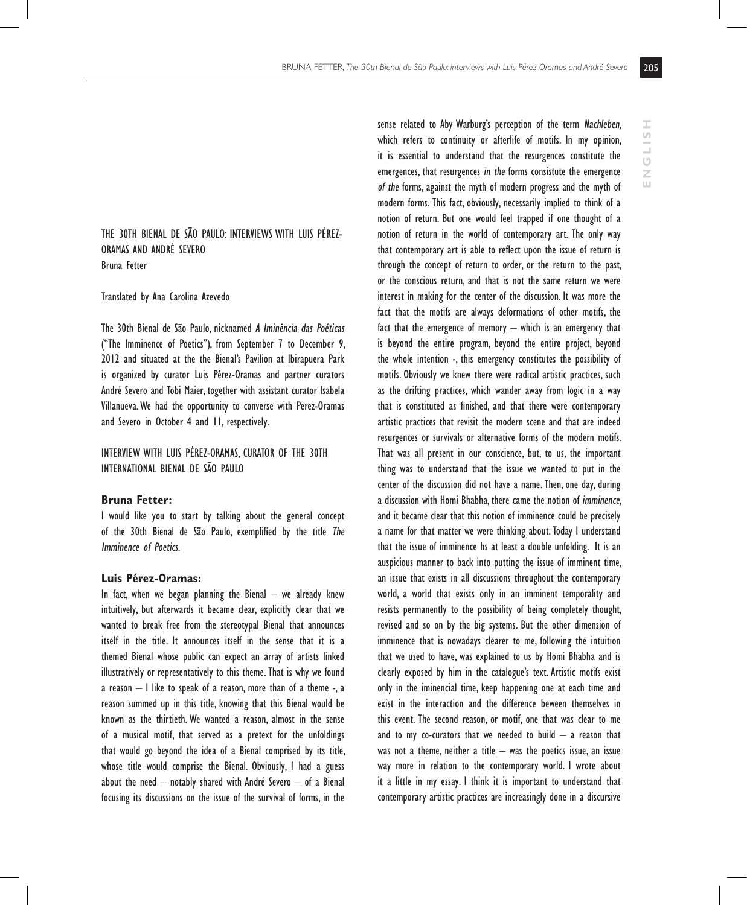$\overline{\mathbf{u}}$ 

The 30th Bienal de São Paulo: interviews with Luis Pérez-Oramas and André Severo Bruna Fetter

#### Translated by Ana Carolina Azevedo

The 30th Bienal de São Paulo, nicknamed A Iminência das Poéticas ("The Imminence of Poetics"), from September 7 to December 9, 2012 and situated at the the Bienal's Pavilion at Ibirapuera Park is organized by curator Luis Pérez-Oramas and partner curators André Severo and Tobi Maier, together with assistant curator Isabela Villanueva. We had the opportunity to converse with Perez-Oramas and Severo in October 4 and 11, respectively.

Interview with Luis Pérez-Oramas, curator of the 30th International Bienal de São Paulo

## **Bruna Fetter:**

I would like you to start by talking about the general concept of the 30th Bienal de São Paulo, exemplified by the title The Imminence of Poetics.

# **Luis Pérez-Oramas:**

In fact, when we began planning the Bienal  $-$  we already knew intuitively, but afterwards it became clear, explicitly clear that we wanted to break free from the stereotypal Bienal that announces itself in the title. It announces itself in the sense that it is a themed Bienal whose public can expect an array of artists linked illustratively or representatively to this theme. That is why we found a reason – I like to speak of a reason, more than of a theme -, a reason summed up in this title, knowing that this Bienal would be known as the thirtieth. We wanted a reason, almost in the sense of a musical motif, that served as a pretext for the unfoldings that would go beyond the idea of a Bienal comprised by its title, whose title would comprise the Bienal. Obviously, I had a guess about the need  $-$  notably shared with André Severo  $-$  of a Bienal focusing its discussions on the issue of the survival of forms, in the

sense related to Aby Warburg's perception of the term Nachleben, which refers to continuity or afterlife of motifs. In my opinion, it is essential to understand that the resurgences constitute the emergences, that resurgences in the forms consistute the emergence of the forms, against the myth of modern progress and the myth of modern forms. This fact, obviously, necessarily implied to think of a notion of return. But one would feel trapped if one thought of a notion of return in the world of contemporary art. The only way that contemporary art is able to reflect upon the issue of return is through the concept of return to order, or the return to the past, or the conscious return, and that is not the same return we were interest in making for the center of the discussion. It was more the fact that the motifs are always deformations of other motifs, the fact that the emergence of memory – which is an emergency that is beyond the entire program, beyond the entire project, beyond the whole intention -, this emergency constitutes the possibility of motifs. Obviously we knew there were radical artistic practices, such as the drifting practices, which wander away from logic in a way that is constituted as finished, and that there were contemporary artistic practices that revisit the modern scene and that are indeed resurgences or survivals or alternative forms of the modern motifs. That was all present in our conscience, but, to us, the important thing was to understand that the issue we wanted to put in the center of the discussion did not have a name. Then, one day, during a discussion with Homi Bhabha, there came the notion of imminence, and it became clear that this notion of imminence could be precisely a name for that matter we were thinking about. Today I understand that the issue of imminence hs at least a double unfolding. It is an auspicious manner to back into putting the issue of imminent time, an issue that exists in all discussions throughout the contemporary world, a world that exists only in an imminent temporality and resists permanently to the possibility of being completely thought, revised and so on by the big systems. But the other dimension of imminence that is nowadays clearer to me, following the intuition that we used to have, was explained to us by Homi Bhabha and is clearly exposed by him in the catalogue's text. Artistic motifs exist only in the iminencial time, keep happening one at each time and exist in the interaction and the difference beween themselves in this event. The second reason, or motif, one that was clear to me and to my co-curators that we needed to build  $-$  a reason that was not a theme, neither a title  $-$  was the poetics issue, an issue way more in relation to the contemporary world. I wrote about it a little in my essay. I think it is important to understand that contemporary artistic practices are increasingly done in a discursive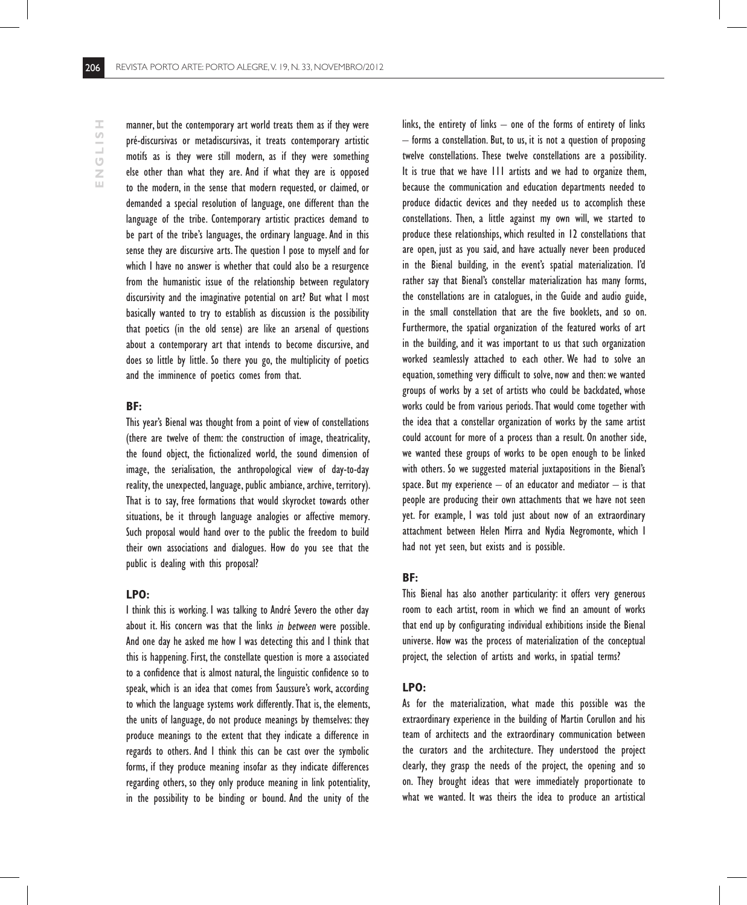ENGLISH **ENGLISH** manner, but the contemporary art world treats them as if they were pré-discursivas or metadiscursivas, it treats contemporary artistic motifs as is they were still modern, as if they were something else other than what they are. And if what they are is opposed to the modern, in the sense that modern requested, or claimed, or demanded a special resolution of language, one different than the language of the tribe. Contemporary artistic practices demand to be part of the tribe's languages, the ordinary language. And in this sense they are discursive arts. The question I pose to myself and for which I have no answer is whether that could also be a resurgence from the humanistic issue of the relationship between regulatory discursivity and the imaginative potential on art? But what I most basically wanted to try to establish as discussion is the possibility that poetics (in the old sense) are like an arsenal of questions about a contemporary art that intends to become discursive, and does so little by little. So there you go, the multiplicity of poetics and the imminence of poetics comes from that.

# **BF:**

This year's Bienal was thought from a point of view of constellations (there are twelve of them: the construction of image, theatricality, the found object, the fictionalized world, the sound dimension of image, the serialisation, the anthropological view of day-to-day reality, the unexpected, language, public ambiance, archive, territory). That is to say, free formations that would skyrocket towards other situations, be it through language analogies or affective memory. Such proposal would hand over to the public the freedom to build their own associations and dialogues. How do you see that the public is dealing with this proposal?

# **LPO:**

I think this is working. I was talking to André Severo the other day about it. His concern was that the links in between were possible. And one day he asked me how I was detecting this and I think that this is happening. First, the constellate question is more a associated to a confidence that is almost natural, the linguistic confidence so to speak, which is an idea that comes from Saussure's work, according to which the language systems work differently. That is, the elements, the units of language, do not produce meanings by themselves: they produce meanings to the extent that they indicate a difference in regards to others. And I think this can be cast over the symbolic forms, if they produce meaning insofar as they indicate differences regarding others, so they only produce meaning in link potentiality, in the possibility to be binding or bound. And the unity of the

links, the entirety of links – one of the forms of entirety of links – forms a constellation. But, to us, it is not a question of proposing twelve constellations. These twelve constellations are a possibility. It is true that we have 111 artists and we had to organize them, because the communication and education departments needed to produce didactic devices and they needed us to accomplish these constellations. Then, a little against my own will, we started to produce these relationships, which resulted in 12 constellations that are open, just as you said, and have actually never been produced in the Bienal building, in the event's spatial materialization. I'd rather say that Bienal's constellar materialization has many forms, the constellations are in catalogues, in the Guide and audio guide, in the small constellation that are the five booklets, and so on. Furthermore, the spatial organization of the featured works of art in the building, and it was important to us that such organization worked seamlessly attached to each other. We had to solve an equation, something very difficult to solve, now and then: we wanted groups of works by a set of artists who could be backdated, whose works could be from various periods. That would come together with the idea that a constellar organization of works by the same artist could account for more of a process than a result. On another side, we wanted these groups of works to be open enough to be linked with others. So we suggested material juxtapositions in the Bienal's space. But my experience  $-$  of an educator and mediator  $-$  is that people are producing their own attachments that we have not seen yet. For example, I was told just about now of an extraordinary attachment between Helen Mirra and Nydia Negromonte, which I had not yet seen, but exists and is possible.

## **BF:**

This Bienal has also another particularity: it offers very generous room to each artist, room in which we find an amount of works that end up by configurating individual exhibitions inside the Bienal universe. How was the process of materialization of the conceptual project, the selection of artists and works, in spatial terms?

#### **LPO:**

As for the materialization, what made this possible was the extraordinary experience in the building of Martin Corullon and his team of architects and the extraordinary communication between the curators and the architecture. They understood the project clearly, they grasp the needs of the project, the opening and so on. They brought ideas that were immediately proportionate to what we wanted. It was theirs the idea to produce an artistical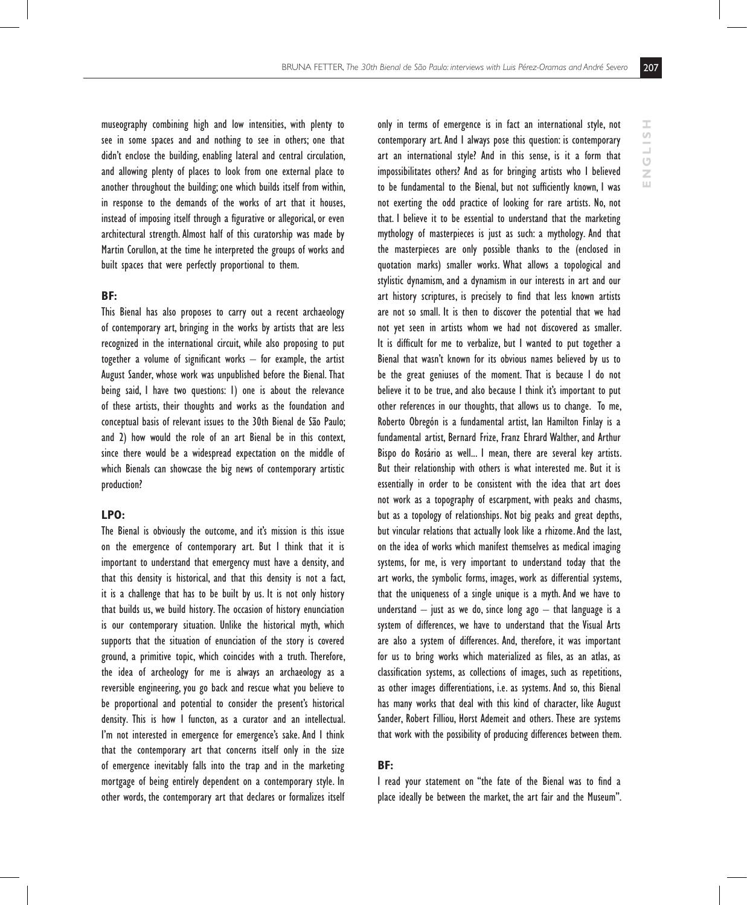museography combining high and low intensities, with plenty to see in some spaces and and nothing to see in others; one that didn't enclose the building, enabling lateral and central circulation, and allowing plenty of places to look from one external place to another throughout the building; one which builds itself from within, in response to the demands of the works of art that it houses, instead of imposing itself through a figurative or allegorical, or even architectural strength. Almost half of this curatorship was made by Martin Corullon, at the time he interpreted the groups of works and built spaces that were perfectly proportional to them.

# **BF:**

This Bienal has also proposes to carry out a recent archaeology of contemporary art, bringing in the works by artists that are less recognized in the international circuit, while also proposing to put together a volume of significant works – for example, the artist August Sander, whose work was unpublished before the Bienal. That being said, I have two questions: 1) one is about the relevance of these artists, their thoughts and works as the foundation and conceptual basis of relevant issues to the 30th Bienal de São Paulo; and 2) how would the role of an art Bienal be in this context, since there would be a widespread expectation on the middle of which Bienals can showcase the big news of contemporary artistic production?

# **LPO:**

The Bienal is obviously the outcome, and it's mission is this issue on the emergence of contemporary art. But I think that it is important to understand that emergency must have a density, and that this density is historical, and that this density is not a fact, it is a challenge that has to be built by us. It is not only history that builds us, we build history. The occasion of history enunciation is our contemporary situation. Unlike the historical myth, which supports that the situation of enunciation of the story is covered ground, a primitive topic, which coincides with a truth. Therefore, the idea of archeology for me is always an archaeology as a reversible engineering, you go back and rescue what you believe to be proportional and potential to consider the present's historical density. This is how I functon, as a curator and an intellectual. I'm not interested in emergence for emergence's sake. And I think that the contemporary art that concerns itself only in the size of emergence inevitably falls into the trap and in the marketing mortgage of being entirely dependent on a contemporary style. In other words, the contemporary art that declares or formalizes itself only in terms of emergence is in fact an international style, not contemporary art. And I always pose this question: is contemporary art an international style? And in this sense, is it a form that impossibilitates others? And as for bringing artists who I believed to be fundamental to the Bienal, but not sufficiently known, I was not exerting the odd practice of looking for rare artists. No, not that. I believe it to be essential to understand that the marketing mythology of masterpieces is just as such: a mythology. And that the masterpieces are only possible thanks to the (enclosed in quotation marks) smaller works. What allows a topological and stylistic dynamism, and a dynamism in our interests in art and our art history scriptures, is precisely to find that less known artists are not so small. It is then to discover the potential that we had not yet seen in artists whom we had not discovered as smaller. It is difficult for me to verbalize, but I wanted to put together a Bienal that wasn't known for its obvious names believed by us to be the great geniuses of the moment. That is because I do not believe it to be true, and also because I think it's important to put other references in our thoughts, that allows us to change. To me, Roberto Obregón is a fundamental artist, Ian Hamilton Finlay is a fundamental artist, Bernard Frize, Franz Ehrard Walther, and Arthur Bispo do Rosário as well... I mean, there are several key artists. But their relationship with others is what interested me. But it is essentially in order to be consistent with the idea that art does not work as a topography of escarpment, with peaks and chasms, but as a topology of relationships. Not big peaks and great depths, but vincular relations that actually look like a rhizome. And the last, on the idea of works which manifest themselves as medical imaging systems, for me, is very important to understand today that the art works, the symbolic forms, images, work as differential systems, that the uniqueness of a single unique is a myth. And we have to understand  $-$  just as we do, since long ago  $-$  that language is a system of differences, we have to understand that the Visual Arts are also a system of differences. And, therefore, it was important for us to bring works which materialized as files, as an atlas, as classification systems, as collections of images, such as repetitions, as other images differentiations, i.e. as systems. And so, this Bienal has many works that deal with this kind of character, like August Sander, Robert Filliou, Horst Ademeit and others. These are systems that work with the possibility of producing differences between them.

## **BF:**

I read your statement on "the fate of the Bienal was to find a place ideally be between the market, the art fair and the Museum". **ENGLISH**

 $\overline{\mathbf{H}}$ 

HSITON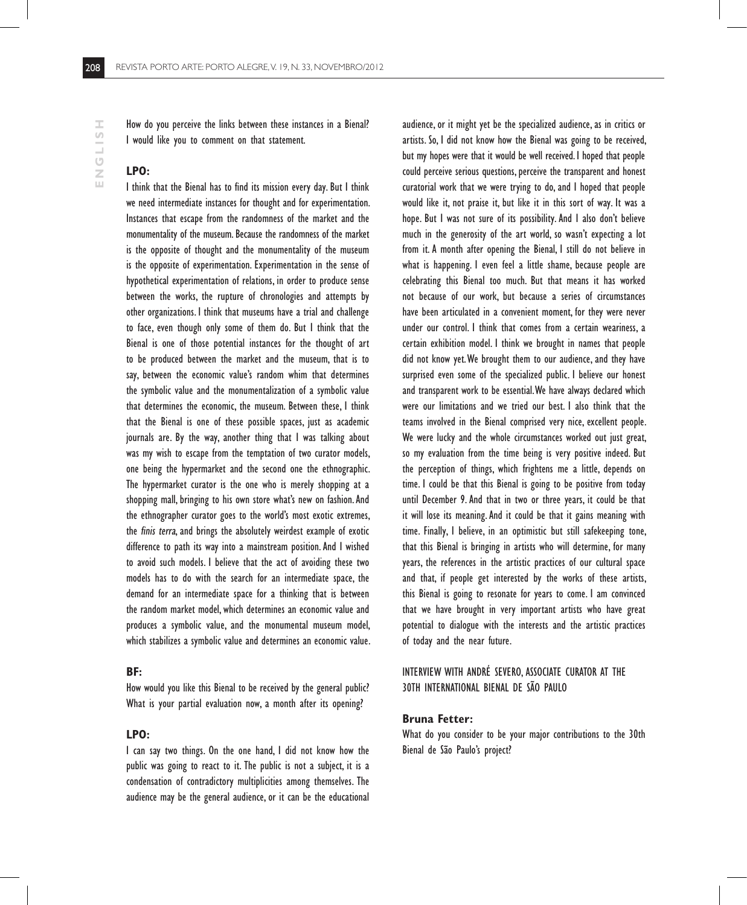# **LPO:**

I think that the Bienal has to find its mission every day. But I think we need intermediate instances for thought and for experimentation. Instances that escape from the randomness of the market and the monumentality of the museum. Because the randomness of the market is the opposite of thought and the monumentality of the museum is the opposite of experimentation. Experimentation in the sense of hypothetical experimentation of relations, in order to produce sense between the works, the rupture of chronologies and attempts by other organizations. I think that museums have a trial and challenge to face, even though only some of them do. But I think that the Bienal is one of those potential instances for the thought of art to be produced between the market and the museum, that is to say, between the economic value's random whim that determines the symbolic value and the monumentalization of a symbolic value that determines the economic, the museum. Between these, I think that the Bienal is one of these possible spaces, just as academic journals are. By the way, another thing that I was talking about was my wish to escape from the temptation of two curator models, one being the hypermarket and the second one the ethnographic. The hypermarket curator is the one who is merely shopping at a shopping mall, bringing to his own store what's new on fashion. And the ethnographer curator goes to the world's most exotic extremes, the finis terra, and brings the absolutely weirdest example of exotic difference to path its way into a mainstream position. And I wished to avoid such models. I believe that the act of avoiding these two models has to do with the search for an intermediate space, the demand for an intermediate space for a thinking that is between the random market model, which determines an economic value and produces a symbolic value, and the monumental museum model, which stabilizes a symbolic value and determines an economic value.

# **BF:**

How would you like this Bienal to be received by the general public? What is your partial evaluation now, a month after its opening?

## **LPO:**

I can say two things. On the one hand, I did not know how the public was going to react to it. The public is not a subject, it is a condensation of contradictory multiplicities among themselves. The audience may be the general audience, or it can be the educational audience, or it might yet be the specialized audience, as in critics or artists. So, I did not know how the Bienal was going to be received, but my hopes were that it would be well received. I hoped that people could perceive serious questions, perceive the transparent and honest curatorial work that we were trying to do, and I hoped that people would like it, not praise it, but like it in this sort of way. It was a hope. But I was not sure of its possibility. And I also don't believe much in the generosity of the art world, so wasn't expecting a lot from it. A month after opening the Bienal, I still do not believe in what is happening. I even feel a little shame, because people are celebrating this Bienal too much. But that means it has worked not because of our work, but because a series of circumstances have been articulated in a convenient moment, for they were never under our control. I think that comes from a certain weariness, a certain exhibition model. I think we brought in names that people did not know yet. We brought them to our audience, and they have surprised even some of the specialized public. I believe our honest and transparent work to be essential. We have always declared which were our limitations and we tried our best. I also think that the teams involved in the Bienal comprised very nice, excellent people. We were lucky and the whole circumstances worked out just great, so my evaluation from the time being is very positive indeed. But the perception of things, which frightens me a little, depends on time. I could be that this Bienal is going to be positive from today until December 9. And that in two or three years, it could be that it will lose its meaning. And it could be that it gains meaning with time. Finally, I believe, in an optimistic but still safekeeping tone, that this Bienal is bringing in artists who will determine, for many years, the references in the artistic practices of our cultural space and that, if people get interested by the works of these artists, this Bienal is going to resonate for years to come. I am convinced that we have brought in very important artists who have great potential to dialogue with the interests and the artistic practices of today and the near future.

# Interview with André Severo, associate curator at the 30th International Bienal de São Paulo

#### **Bruna Fetter:**

What do you consider to be your major contributions to the 30th Bienal de São Paulo's project?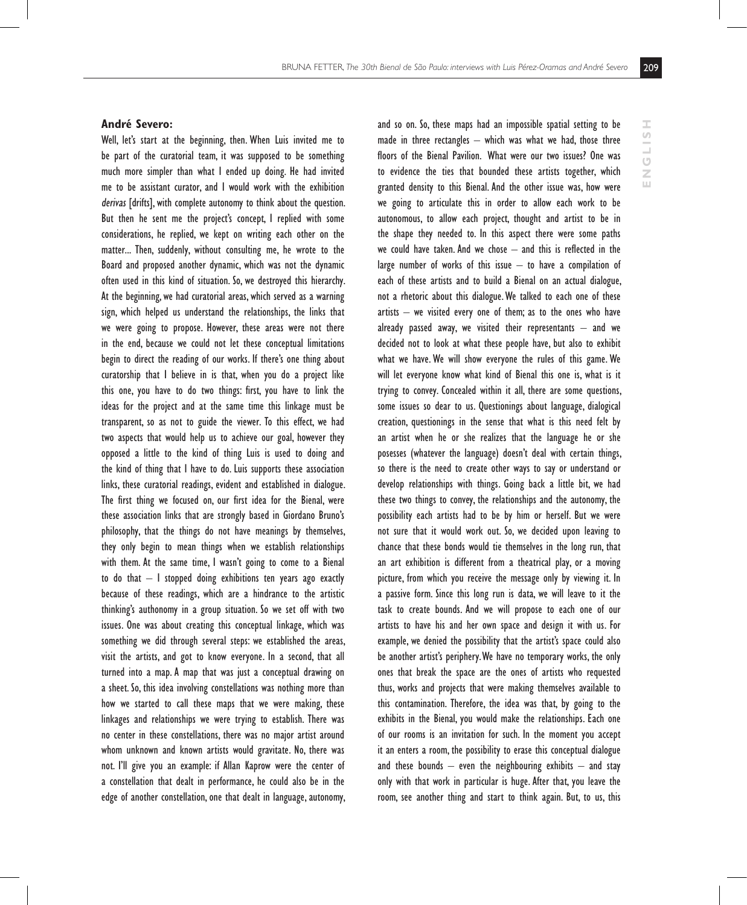**ENGLISH**

 $\overline{\mathbf{H}}$ 

**HISLISN** 

#### **André Severo:**

Well, let's start at the beginning, then. When Luis invited me to be part of the curatorial team, it was supposed to be something much more simpler than what I ended up doing. He had invited me to be assistant curator, and I would work with the exhibition derivas [drifts], with complete autonomy to think about the question. But then he sent me the project's concept, I replied with some considerations, he replied, we kept on writing each other on the matter... Then, suddenly, without consulting me, he wrote to the Board and proposed another dynamic, which was not the dynamic often used in this kind of situation. So, we destroyed this hierarchy. At the beginning, we had curatorial areas, which served as a warning sign, which helped us understand the relationships, the links that we were going to propose. However, these areas were not there in the end, because we could not let these conceptual limitations begin to direct the reading of our works. If there's one thing about curatorship that I believe in is that, when you do a project like this one, you have to do two things: first, you have to link the ideas for the project and at the same time this linkage must be transparent, so as not to guide the viewer. To this effect, we had two aspects that would help us to achieve our goal, however they opposed a little to the kind of thing Luis is used to doing and the kind of thing that I have to do. Luis supports these association links, these curatorial readings, evident and established in dialogue. The first thing we focused on, our first idea for the Bienal, were these association links that are strongly based in Giordano Bruno's philosophy, that the things do not have meanings by themselves, they only begin to mean things when we establish relationships with them. At the same time, I wasn't going to come to a Bienal to do that  $-1$  stopped doing exhibitions ten years ago exactly because of these readings, which are a hindrance to the artistic thinking's authonomy in a group situation. So we set off with two issues. One was about creating this conceptual linkage, which was something we did through several steps: we established the areas, visit the artists, and got to know everyone. In a second, that all turned into a map. A map that was just a conceptual drawing on a sheet. So, this idea involving constellations was nothing more than how we started to call these maps that we were making, these linkages and relationships we were trying to establish. There was no center in these constellations, there was no major artist around whom unknown and known artists would gravitate. No, there was not. I'll give you an example: if Allan Kaprow were the center of a constellation that dealt in performance, he could also be in the edge of another constellation, one that dealt in language, autonomy, and so on. So, these maps had an impossible spatial setting to be made in three rectangles – which was what we had, those three floors of the Bienal Pavilion. What were our two issues? One was to evidence the ties that bounded these artists together, which granted density to this Bienal. And the other issue was, how were we going to articulate this in order to allow each work to be autonomous, to allow each project, thought and artist to be in the shape they needed to. In this aspect there were some paths we could have taken. And we chose – and this is reflected in the large number of works of this issue – to have a compilation of each of these artists and to build a Bienal on an actual dialogue, not a rhetoric about this dialogue. We talked to each one of these  $artists$  – we visited every one of them; as to the ones who have already passed away, we visited their representants  $-$  and we decided not to look at what these people have, but also to exhibit what we have. We will show everyone the rules of this game. We will let everyone know what kind of Bienal this one is, what is it trying to convey. Concealed within it all, there are some questions, some issues so dear to us. Questionings about language, dialogical creation, questionings in the sense that what is this need felt by an artist when he or she realizes that the language he or she posesses (whatever the language) doesn't deal with certain things, so there is the need to create other ways to say or understand or develop relationships with things. Going back a little bit, we had these two things to convey, the relationships and the autonomy, the possibility each artists had to be by him or herself. But we were not sure that it would work out. So, we decided upon leaving to chance that these bonds would tie themselves in the long run, that an art exhibition is different from a theatrical play, or a moving picture, from which you receive the message only by viewing it. In a passive form. Since this long run is data, we will leave to it the task to create bounds. And we will propose to each one of our artists to have his and her own space and design it with us. For example, we denied the possibility that the artist's space could also be another artist's periphery. We have no temporary works, the only ones that break the space are the ones of artists who requested thus, works and projects that were making themselves available to this contamination. Therefore, the idea was that, by going to the exhibits in the Bienal, you would make the relationships. Each one of our rooms is an invitation for such. In the moment you accept it an enters a room, the possibility to erase this conceptual dialogue and these bounds  $-$  even the neighbouring exhibits  $-$  and stay only with that work in particular is huge. After that, you leave the room, see another thing and start to think again. But, to us, this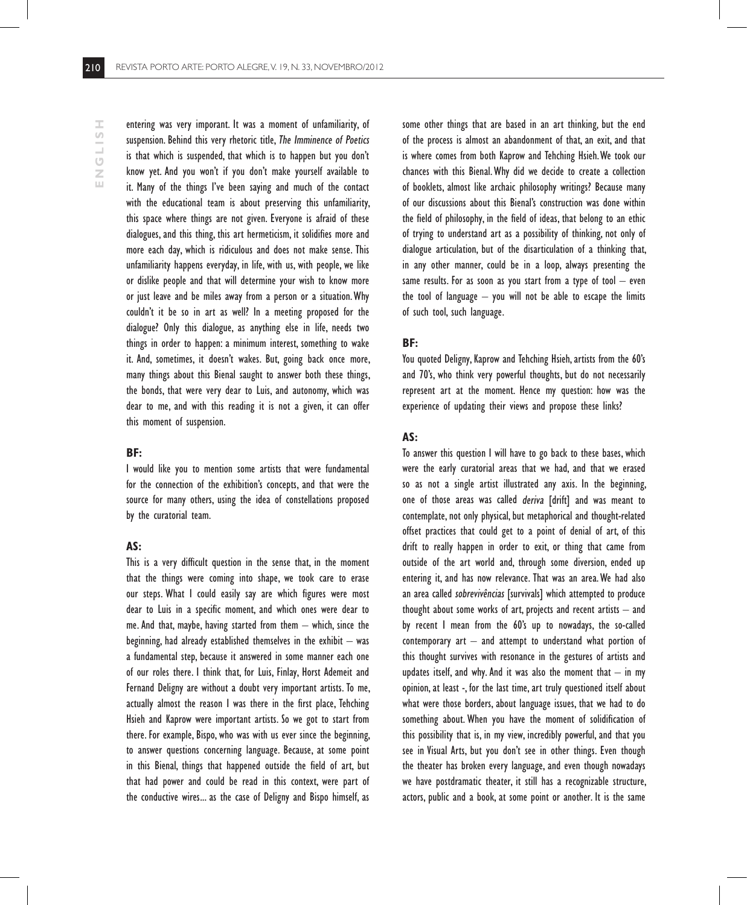entering was very imporant. It was a moment of unfamiliarity, of suspension. Behind this very rhetoric title, The Imminence of Poetics is that which is suspended, that which is to happen but you don't know yet. And you won't if you don't make yourself available to it. Many of the things I've been saying and much of the contact with the educational team is about preserving this unfamiliarity, this space where things are not given. Everyone is afraid of these dialogues, and this thing, this art hermeticism, it solidifies more and more each day, which is ridiculous and does not make sense. This unfamiliarity happens everyday, in life, with us, with people, we like or dislike people and that will determine your wish to know more or just leave and be miles away from a person or a situation. Why couldn't it be so in art as well? In a meeting proposed for the dialogue? Only this dialogue, as anything else in life, needs two things in order to happen: a minimum interest, something to wake it. And, sometimes, it doesn't wakes. But, going back once more, many things about this Bienal saught to answer both these things, the bonds, that were very dear to Luis, and autonomy, which was dear to me, and with this reading it is not a given, it can offer this moment of suspension.

#### **BF:**

I would like you to mention some artists that were fundamental for the connection of the exhibition's concepts, and that were the source for many others, using the idea of constellations proposed by the curatorial team.

#### **AS:**

This is a very difficult question in the sense that, in the moment that the things were coming into shape, we took care to erase our steps. What I could easily say are which figures were most dear to Luis in a specific moment, and which ones were dear to me. And that, maybe, having started from them  $-$  which, since the beginning, had already established themselves in the exhibit  $-$  was a fundamental step, because it answered in some manner each one of our roles there. I think that, for Luis, Finlay, Horst Ademeit and Fernand Deligny are without a doubt very important artists. To me, actually almost the reason I was there in the first place, Tehching Hsieh and Kaprow were important artists. So we got to start from there. For example, Bispo, who was with us ever since the beginning, to answer questions concerning language. Because, at some point in this Bienal, things that happened outside the field of art, but that had power and could be read in this context, were part of the conductive wires... as the case of Deligny and Bispo himself, as

some other things that are based in an art thinking, but the end of the process is almost an abandonment of that, an exit, and that is where comes from both Kaprow and Tehching Hsieh. We took our chances with this Bienal. Why did we decide to create a collection of booklets, almost like archaic philosophy writings? Because many of our discussions about this Bienal's construction was done within the field of philosophy, in the field of ideas, that belong to an ethic of trying to understand art as a possibility of thinking, not only of dialogue articulation, but of the disarticulation of a thinking that, in any other manner, could be in a loop, always presenting the same results. For as soon as you start from a type of tool  $-$  even the tool of language  $-$  you will not be able to escape the limits of such tool, such language.

#### **BF:**

You quoted Deligny, Kaprow and Tehching Hsieh, artists from the 60's and 70's, who think very powerful thoughts, but do not necessarily represent art at the moment. Hence my question: how was the experience of updating their views and propose these links?

# **AS:**

To answer this question I will have to go back to these bases, which were the early curatorial areas that we had, and that we erased so as not a single artist illustrated any axis. In the beginning, one of those areas was called deriva [drift] and was meant to contemplate, not only physical, but metaphorical and thought-related offset practices that could get to a point of denial of art, of this drift to really happen in order to exit, or thing that came from outside of the art world and, through some diversion, ended up entering it, and has now relevance. That was an area. We had also an area called sobrevivências [survivals] which attempted to produce thought about some works of art, projects and recent artists – and by recent I mean from the 60's up to nowadays, the so-called contemporary  $art -$  and attempt to understand what portion of this thought survives with resonance in the gestures of artists and updates itself, and why. And it was also the moment that  $-$  in my opinion, at least -, for the last time, art truly questioned itself about what were those borders, about language issues, that we had to do something about. When you have the moment of solidification of this possibility that is, in my view, incredibly powerful, and that you see in Visual Arts, but you don't see in other things. Even though the theater has broken every language, and even though nowadays we have postdramatic theater, it still has a recognizable structure, actors, public and a book, at some point or another. It is the same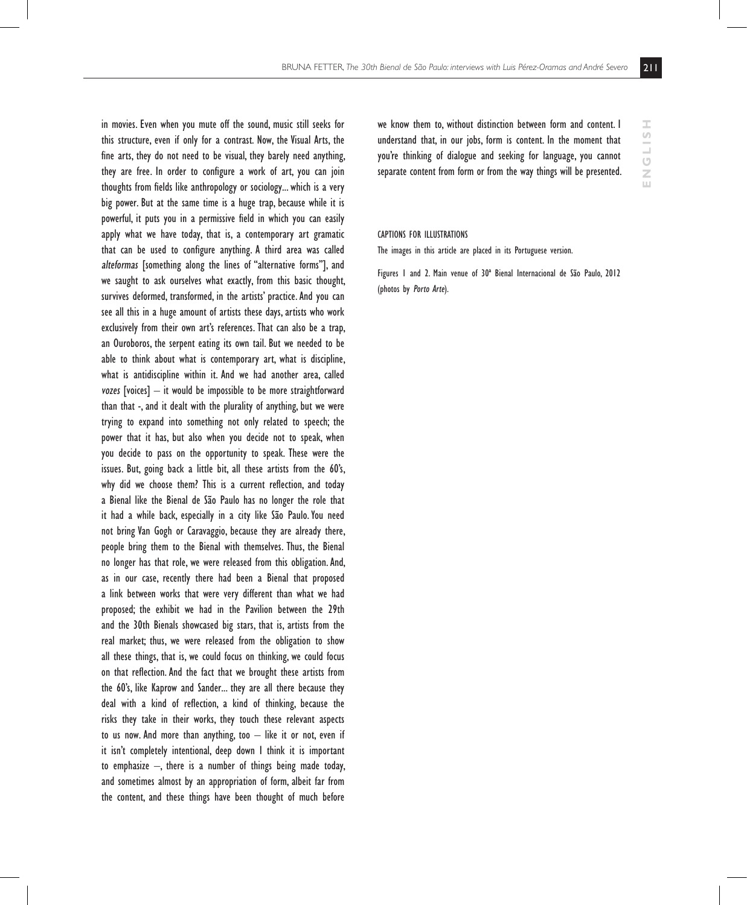in movies. Even when you mute off the sound, music still seeks for this structure, even if only for a contrast. Now, the Visual Arts, the fine arts, they do not need to be visual, they barely need anything, they are free. In order to configure a work of art, you can join thoughts from fields like anthropology or sociology... which is a very big power. But at the same time is a huge trap, because while it is powerful, it puts you in a permissive field in which you can easily apply what we have today, that is, a contemporary art gramatic that can be used to configure anything. A third area was called alteformas [something along the lines of "alternative forms"], and we saught to ask ourselves what exactly, from this basic thought, survives deformed, transformed, in the artists' practice. And you can see all this in a huge amount of artists these days, artists who work exclusively from their own art's references. That can also be a trap, an Ouroboros, the serpent eating its own tail. But we needed to be able to think about what is contemporary art, what is discipline, what is antidiscipline within it. And we had another area, called vozes [voices]  $-$  it would be impossible to be more straightforward than that -, and it dealt with the plurality of anything, but we were trying to expand into something not only related to speech; the power that it has, but also when you decide not to speak, when you decide to pass on the opportunity to speak. These were the issues. But, going back a little bit, all these artists from the 60's, why did we choose them? This is a current reflection, and today a Bienal like the Bienal de São Paulo has no longer the role that it had a while back, especially in a city like São Paulo. You need not bring Van Gogh or Caravaggio, because they are already there, people bring them to the Bienal with themselves. Thus, the Bienal no longer has that role, we were released from this obligation. And, as in our case, recently there had been a Bienal that proposed a link between works that were very different than what we had proposed; the exhibit we had in the Pavilion between the 29th and the 30th Bienals showcased big stars, that is, artists from the real market; thus, we were released from the obligation to show all these things, that is, we could focus on thinking, we could focus on that reflection. And the fact that we brought these artists from the 60's, like Kaprow and Sander... they are all there because they deal with a kind of reflection, a kind of thinking, because the risks they take in their works, they touch these relevant aspects to us now. And more than anything, too  $-$  like it or not, even if it isn't completely intentional, deep down I think it is important to emphasize –, there is a number of things being made today, and sometimes almost by an appropriation of form, albeit far from the content, and these things have been thought of much before

we know them to, without distinction between form and content. I understand that, in our jobs, form is content. In the moment that you're thinking of dialogue and seeking for language, you cannot separate content from form or from the way things will be presented.

#### Captions for illustrations

The images in this article are placed in its Portuguese version.

Figures 1 and 2. Main venue of 30ª Bienal Internacional de São Paulo, 2012 (photos by Porto Arte).